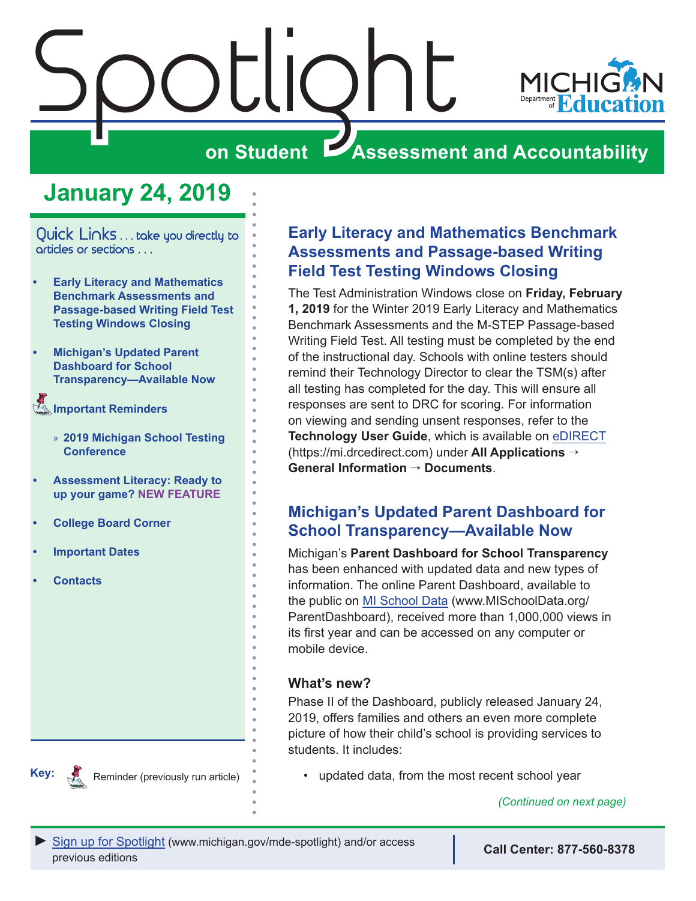

## **January 24, 2019**

<span id="page-0-0"></span>Quick Links . . . take you directly to articles or sections . . .

- **• Early Literacy and Mathematics Benchmark Assessments and Passage-based Writing Field Test Testing Windows Closing**
- **• Michigan's Updated Parent Dashboard for School Transparency—Available Now**
- **[Important Reminders](#page-2-0)** 
	- » **[2019 Michigan School Testing](#page-2-0)  [Conference](#page-2-0)**
- **• [Assessment Literacy: Ready to](#page-3-0)  [up your game?](#page-3-0) NEW FEATURE**
- **• [College Board Corner](#page-4-0)**
- **• [Important Dates](#page-6-0)**
- **• [Contacts](#page-8-0)**

**Key:**

Reminders



The Test Administration Windows close on **Friday, February 1, 2019** for the Winter 2019 Early Literacy and Mathematics Benchmark Assessments and the M-STEP Passage-based Writing Field Test. All testing must be completed by the end of the instructional day. Schools with online testers should remind their Technology Director to clear the TSM(s) after all testing has completed for the day. This will ensure all responses are sent to DRC for scoring. For information on viewing and sending unsent responses, refer to the **Technology User Guide**, which is available on [eDIRECT](https://mi.drcedirect.com) (https://mi.drcedirect.com) under **All Applications** → **General Information** → **Documents**.

## **Michigan's Updated Parent Dashboard for School Transparency—Available Now**

Michigan's **Parent Dashboard for School Transparency** has been enhanced with updated data and new types of information. The online Parent Dashboard, available to the public on [MI School Data](https://www.mischooldata.org/ParentDashboard/) (www.MISchoolData.org/ ParentDashboard), received more than 1,000,000 views in its first year and can be accessed on any computer or mobile device.

#### **What's new?**

Phase II of the Dashboard, publicly released January 24, 2019, offers families and others an even more complete picture of how their child's school is providing services to students. It includes:

• updated data, from the most recent school year

*(Continued on next page)*



Reminder (previously run article)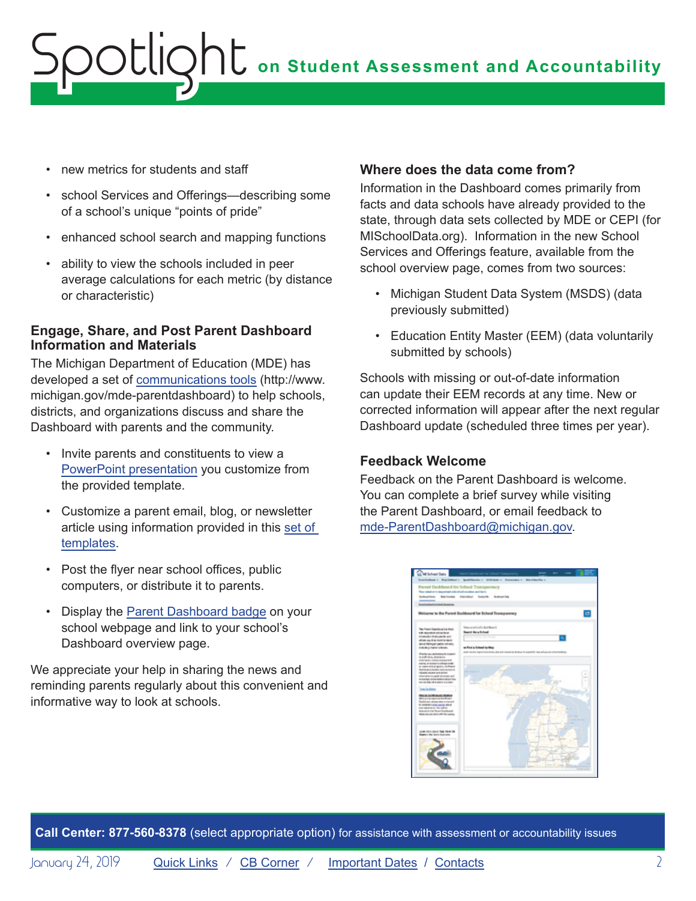## **on Student Assessment and Accountability** ootlic

- new metrics for students and staff
- school Services and Offerings—describing some of a school's unique "points of pride"
- enhanced school search and mapping functions
- ability to view the schools included in peer average calculations for each metric (by distance or characteristic)

#### **Engage, Share, and Post Parent Dashboard Information and Materials**

The Michigan Department of Education (MDE) has developed a set of [communications tools](http://www.michigan.gov/mde-parentdashboard) (http://www. michigan.gov/mde-parentdashboard) to help schools, districts, and organizations discuss and share the Dashboard with parents and the community.

- Invite parents and constituents to view a [PowerPoint presentation](http://www.michigan.gov/documents/mde/Parent_Dashboard_Presentation_for_School_Leaders_608479_7.pptx) you customize from the provided template.
- Customize a parent email, blog, or newsletter article using information provided in this [set of](http://www.michigan.gov/documents/mde/PD-TEMPLATE-all_messaging_608482_7.docx)  [templates.](http://www.michigan.gov/documents/mde/PD-TEMPLATE-all_messaging_608482_7.docx)
- Post the flyer near school offices, public computers, or distribute it to parents.
- Display the [Parent Dashboard badge](https://www.michigan.gov/images/mde/Parent-Dashboard-web_609929_7.gif) on your school webpage and link to your school's Dashboard overview page.

We appreciate your help in sharing the news and reminding parents regularly about this convenient and informative way to look at schools.

#### **Where does the data come from?**

Information in the Dashboard comes primarily from facts and data schools have already provided to the state, through data sets collected by MDE or CEPI (for MISchoolData.org). Information in the new School Services and Offerings feature, available from the school overview page, comes from two sources:

- Michigan Student Data System (MSDS) (data previously submitted)
- Education Entity Master (EEM) (data voluntarily submitted by schools)

Schools with missing or out-of-date information can update their EEM records at any time. New or corrected information will appear after the next regular Dashboard update (scheduled three times per year).

#### **Feedback Welcome**

Feedback on the Parent Dashboard is welcome. You can complete a brief survey while visiting the Parent Dashboard, or email feedback to [mde-ParentDashboard@michigan.gov](mailto:mde-ParentDashboard%40michigan.gov?subject=).



**Call Center: 877-560-8378** (select appropriate option) for assistance with assessment or accountability issues

January 24, 2019 **[Quick Links](#page-0-0) / [CB Corner](#page-4-1) / [Important Dates](#page-6-1) / [Contacts](#page-8-1)** 2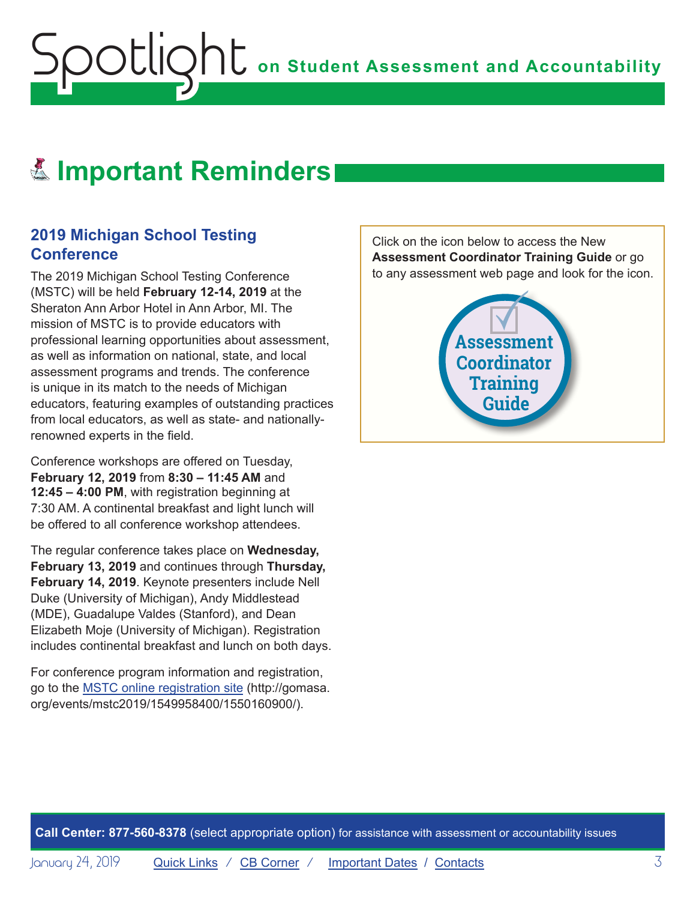## <span id="page-2-0"></span>Reminders **Important Reminders**

#### **2019 Michigan School Testing Conference**

The 2019 Michigan School Testing Conference (MSTC) will be held **February 12-14, 2019** at the Sheraton Ann Arbor Hotel in Ann Arbor, MI. The mission of MSTC is to provide educators with professional learning opportunities about assessment, as well as information on national, state, and local assessment programs and trends. The conference is unique in its match to the needs of Michigan educators, featuring examples of outstanding practices from local educators, as well as state- and nationallyrenowned experts in the field.

Conference workshops are offered on Tuesday, **February 12, 2019** from **8:30 – 11:45 AM** and **12:45 – 4:00 PM**, with registration beginning at 7:30 AM. A continental breakfast and light lunch will be offered to all conference workshop attendees.

The regular conference takes place on **Wednesday, February 13, 2019** and continues through **Thursday, February 14, 2019**. Keynote presenters include Nell Duke (University of Michigan), Andy Middlestead (MDE), Guadalupe Valdes (Stanford), and Dean Elizabeth Moje (University of Michigan). Registration includes continental breakfast and lunch on both days.

For conference program information and registration, go to the [MSTC online registration site](http://gomasa.org/events/mstc2019/1549958400/1550160900/) (http://gomasa. org/events/mstc2019/1549958400/1550160900/).

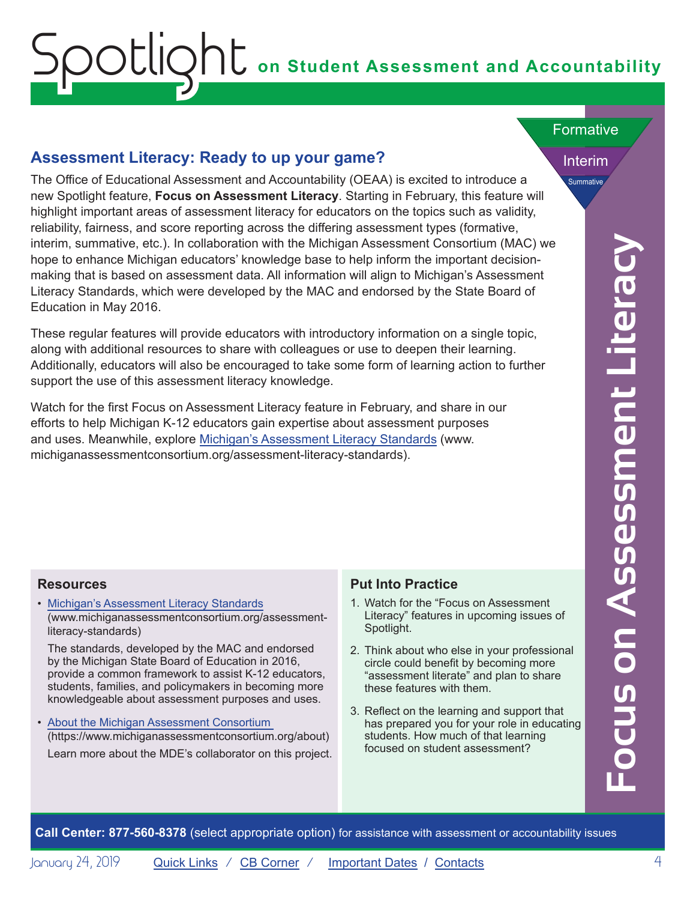# **on Student Assessment and Accountability**

#### **Assessment Literacy: Ready to up your game?**

<span id="page-3-0"></span>ootlic

**Call Center:** Summatrix etc.) In the Micharation with the Micharation will assign that is best appropriate the state of second to the state approximation of the State Board of the State Board of the State Board on Assessm The Office of Educational Assessment and Accountability (OEAA) is excited to introduce a new Spotlight feature, **Focus on Assessment Literacy**. Starting in February, this feature will highlight important areas of assessment literacy for educators on the topics such as validity, reliability, fairness, and score reporting across the differing assessment types (formative, interim, summative, etc.). In collaboration with the Michigan Assessment Consortium (MAC) we hope to enhance Michigan educators' knowledge base to help inform the important decisionmaking that is based on assessment data. All information will align to Michigan's Assessment Literacy Standards, which were developed by the MAC and endorsed by the State Board of Education in May 2016.

These regular features will provide educators with introductory information on a single topic, along with additional resources to share with colleagues or use to deepen their learning. Additionally, educators will also be encouraged to take some form of learning action to further support the use of this assessment literacy knowledge.

Watch for the first Focus on Assessment Literacy feature in February, and share in our efforts to help Michigan K-12 educators gain expertise about assessment purposes and uses. Meanwhile, explore [Michigan's Assessment Literacy Standards](http://www.michiganassessmentconsortium.org/assessment-literacy-standards) (www. michiganassessmentconsortium.org/assessment-literacy-standards).

#### Formative

Interim Summative

#### **Resources**

• [Michigan's Assessment Literacy Standards](http://www.michiganassessmentconsortium.org/assessment-literacy-standards ) (www.michiganassessmentconsortium.org/assessmentliteracy-standards)

The standards, developed by the MAC and endorsed by the Michigan State Board of Education in 2016, provide a common framework to assist K-12 educators, students, families, and policymakers in becoming more knowledgeable about assessment purposes and uses.

• [About the Michigan Assessment Consortium](https://www.michiganassessmentconsortium.org/about)  (https://www.michiganassessmentconsortium.org/about) Learn more about the MDE's collaborator on this project.

#### **Put Into Practice**

- 1. Watch for the "Focus on Assessment Literacy" features in upcoming issues of Spotlight.
- 2. Think about who else in your professional circle could benefit by becoming more "assessment literate" and plan to share these features with them.
- 3. Reflect on the learning and support that has prepared you for your role in educating students. How much of that learning focused on student assessment?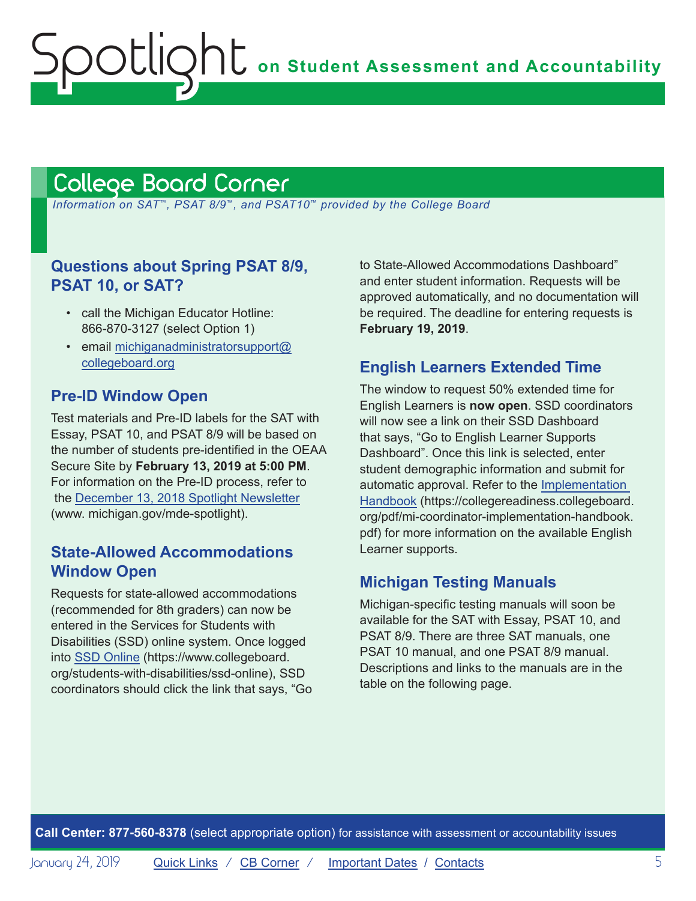## <span id="page-4-1"></span>College Board Corner

<span id="page-4-0"></span>Spotlight

 *Information on SAT*™*, PSAT 8/9*™*, and PSAT10*™ *provided by the College Board*

#### **Questions about Spring PSAT 8/9, PSAT 10, or SAT?**

- call the Michigan Educator Hotline: 866-870-3127 (select Option 1)
- email [michiganadministratorsupport@](mailto:michiganadministratorsupport%40collegeboard.org?subject=) [collegeboard.org](mailto:michiganadministratorsupport%40collegeboard.org?subject=)

#### **Pre-ID Window Open**

Test materials and Pre-ID labels for the SAT with Essay, PSAT 10, and PSAT 8/9 will be based on the number of students pre-identified in the OEAA Secure Site by **February 13, 2019 at 5:00 PM**. For information on the Pre-ID process, refer to the [December 13, 2018 Spotlight Newsletter](https://www.michigan.gov/documents/mde/Spotlight_12-13-18_640839_7.pdf) (www. michigan.gov/mde-spotlight).

#### **State-Allowed Accommodations Window Open**

Requests for state-allowed accommodations (recommended for 8th graders) can now be entered in the Services for Students with Disabilities (SSD) online system. Once logged into [SSD Online](https://www.collegeboard.org/students-with-disabilities/ssd-online) (https://www.collegeboard. org/students-with-disabilities/ssd-online), SSD coordinators should click the link that says, "Go to State-Allowed Accommodations Dashboard" and enter student information. Requests will be approved automatically, and no documentation will be required. The deadline for entering requests is **February 19, 2019**.

#### **English Learners Extended Time**

The window to request 50% extended time for English Learners is **now open**. SSD coordinators will now see a link on their SSD Dashboard that says, "Go to English Learner Supports Dashboard". Once this link is selected, enter student demographic information and submit for automatic approval. Refer to the [Implementation](https://collegereadiness.collegeboard.org/pdf/mi-coordinator-implementation-handbook.pdf)  [Handbook](https://collegereadiness.collegeboard.org/pdf/mi-coordinator-implementation-handbook.pdf) (https://collegereadiness.collegeboard. org/pdf/mi-coordinator-implementation-handbook. pdf) for more information on the available English Learner supports.

### **Michigan Testing Manuals**

Michigan-specific testing manuals will soon be available for the SAT with Essay, PSAT 10, and PSAT 8/9. There are three SAT manuals, one PSAT 10 manual, and one PSAT 8/9 manual. Descriptions and links to the manuals are in the table on the following page.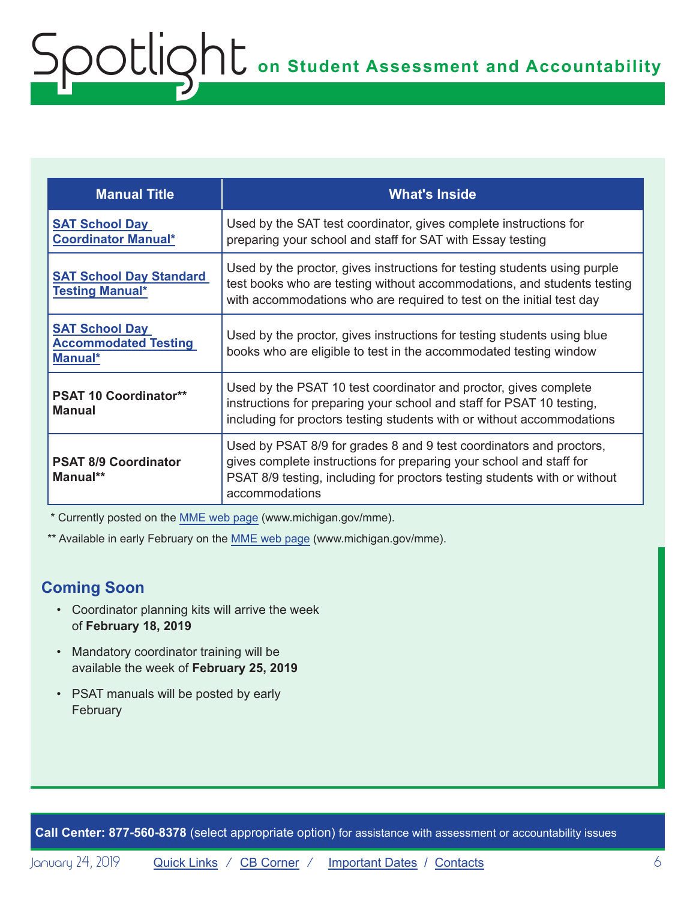| <b>Manual Title</b>                                             | <b>What's Inside</b>                                                                                                                                                                                                                      |
|-----------------------------------------------------------------|-------------------------------------------------------------------------------------------------------------------------------------------------------------------------------------------------------------------------------------------|
| <b>SAT School Day</b><br><b>Coordinator Manual*</b>             | Used by the SAT test coordinator, gives complete instructions for<br>preparing your school and staff for SAT with Essay testing                                                                                                           |
| <b>SAT School Day Standard</b><br><b>Testing Manual*</b>        | Used by the proctor, gives instructions for testing students using purple<br>test books who are testing without accommodations, and students testing<br>with accommodations who are required to test on the initial test day              |
| <b>SAT School Day</b><br><b>Accommodated Testing</b><br>Manual* | Used by the proctor, gives instructions for testing students using blue<br>books who are eligible to test in the accommodated testing window                                                                                              |
| <b>PSAT 10 Coordinator**</b><br><b>Manual</b>                   | Used by the PSAT 10 test coordinator and proctor, gives complete<br>instructions for preparing your school and staff for PSAT 10 testing,<br>including for proctors testing students with or without accommodations                       |
| <b>PSAT 8/9 Coordinator</b><br>Manual**                         | Used by PSAT 8/9 for grades 8 and 9 test coordinators and proctors,<br>gives complete instructions for preparing your school and staff for<br>PSAT 8/9 testing, including for proctors testing students with or without<br>accommodations |

\* Currently posted on the [MME web page](www.michigan.gov/mme) (www.michigan.gov/mme).

\*\* Available in early February on the [MME web page](www.michigan.gov/mme) (www.michigan.gov/mme).

## **Coming Soon**

- Coordinator planning kits will arrive the week of **February 18, 2019**
- Mandatory coordinator training will be available the week of **February 25, 2019**
- PSAT manuals will be posted by early February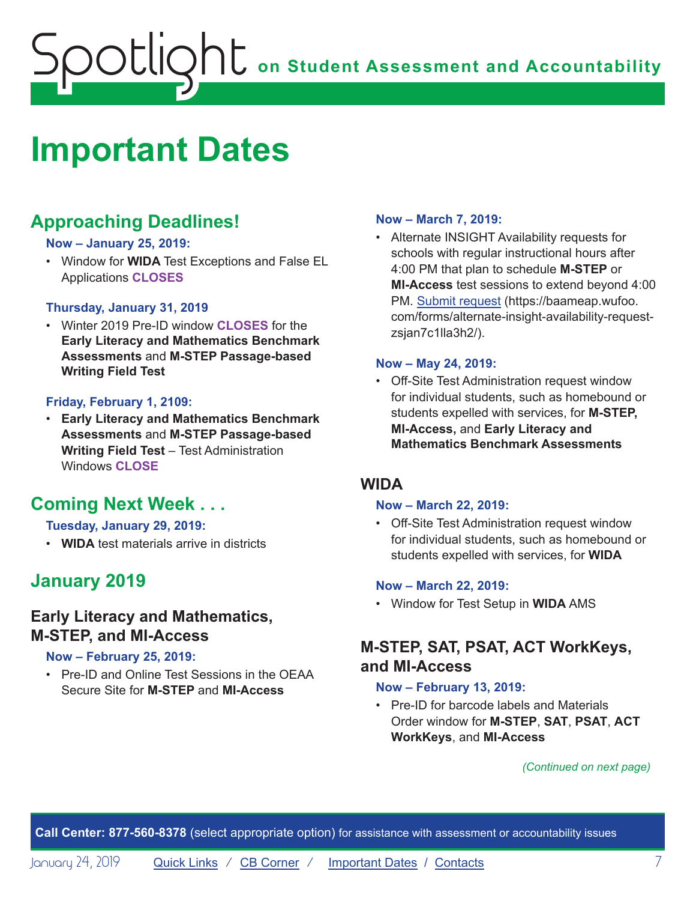## <span id="page-6-0"></span>**ONE** on Student Assessment and Accountability potlic

## <span id="page-6-1"></span>**Important Dates**

## **Approaching Deadlines!**

#### **Now – January 25, 2019:**

• Window for **WIDA** Test Exceptions and False EL Applications **CLOSES**

#### **Thursday, January 31, 2019**

• Winter 2019 Pre-ID window **CLOSES** for the **Early Literacy and Mathematics Benchmark Assessments** and **M-STEP Passage-based Writing Field Test**

#### **Friday, February 1, 2109:**

• **Early Literacy and Mathematics Benchmark Assessments** and **M-STEP Passage-based Writing Field Test** – Test Administration Windows **CLOSE**

## **Coming Next Week . . .**

#### **Tuesday, January 29, 2019:**

• **WIDA** test materials arrive in districts

## **January 2019**

#### **Early Literacy and Mathematics, M-STEP, and MI-Access**

#### **Now – February 25, 2019:**

• Pre-ID and Online Test Sessions in the OEAA Secure Site for **M-STEP** and **MI-Access**

#### **Now – March 7, 2019:**

• Alternate INSIGHT Availability requests for schools with regular instructional hours after 4:00 PM that plan to schedule **M-STEP** or **MI-Access** test sessions to extend beyond 4:00 PM. [Submit request](https://baameap.wufoo.com/forms/alternate-insight-availability-request-zsjan7c1lla3h2/) (https://baameap.wufoo. com/forms/alternate-insight-availability-requestzsjan7c1lla3h2/).

#### **Now – May 24, 2019:**

• Off-Site Test Administration request window for individual students, such as homebound or students expelled with services, for **M-STEP, MI-Access,** and **Early Literacy and Mathematics Benchmark Assessments**

#### **WIDA**

#### **Now – March 22, 2019:**

• Off-Site Test Administration request window for individual students, such as homebound or students expelled with services, for **WIDA**

#### **Now – March 22, 2019:**

• Window for Test Setup in **WIDA** AMS

#### **M-STEP, SAT, PSAT, ACT WorkKeys, and MI-Access**

#### **Now – February 13, 2019:**

• Pre-ID for barcode labels and Materials Order window for **M-STEP**, **SAT**, **PSAT**, **ACT WorkKeys**, and **MI-Access**

*(Continued on next page)*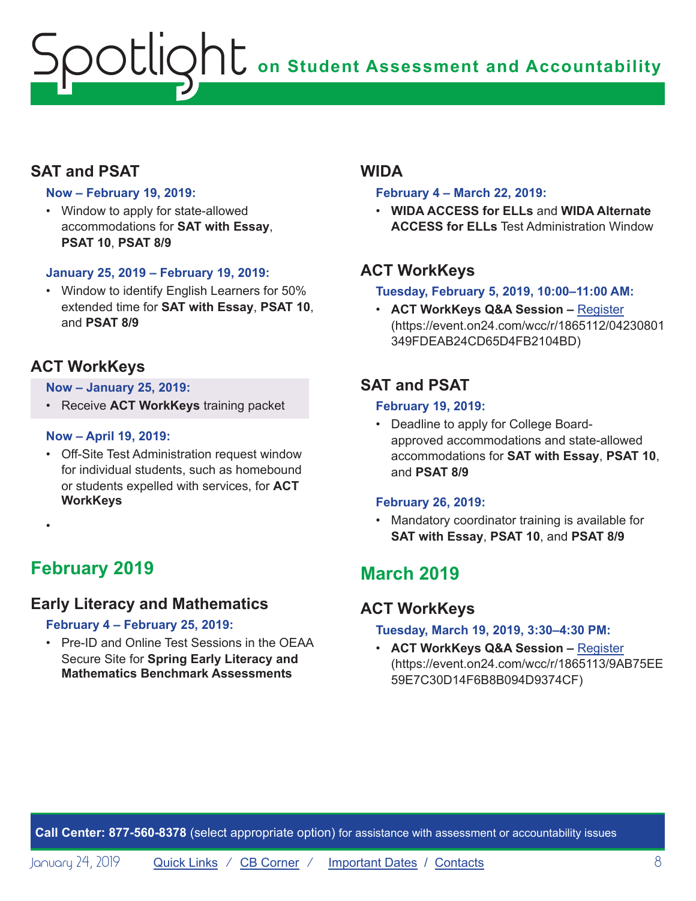## **On Student Assessment and Accountability** ootlic

## **SAT and PSAT**

#### **Now – February 19, 2019:**

• Window to apply for state-allowed accommodations for **SAT with Essay**, **PSAT 10**, **PSAT 8/9**

#### **January 25, 2019 – February 19, 2019:**

• Window to identify English Learners for 50% extended time for **SAT with Essay**, **PSAT 10**, and **PSAT 8/9**

### **ACT WorkKeys**

#### **Now – January 25, 2019:**

• Receive **ACT WorkKeys** training packet

#### **Now – April 19, 2019:**

- Off-Site Test Administration request window for individual students, such as homebound or students expelled with services, for **ACT WorkKeys**
- •

## **February 2019**

### **Early Literacy and Mathematics**

#### **February 4 – February 25, 2019:**

• Pre-ID and Online Test Sessions in the OEAA Secure Site for **Spring Early Literacy and Mathematics Benchmark Assessments**

#### **WIDA**

#### **February 4 – March 22, 2019:**

• **WIDA ACCESS for ELLs** and **WIDA Alternate ACCESS for ELLs** Test Administration Window

### **ACT WorkKeys**

#### **Tuesday, February 5, 2019, 10:00–11:00 AM:**

• **ACT WorkKeys Q&A Session –** [Register](https://event.on24.com/wcc/r/1865112/04230801349FDEAB24CD65D4FB2104BD) (https://event.on24.com/wcc/r/1865112/04230801 349FDEAB24CD65D4FB2104BD)

## **SAT and PSAT**

#### **February 19, 2019:**

• Deadline to apply for College Boardapproved accommodations and state-allowed accommodations for **SAT with Essay**, **PSAT 10**, and **PSAT 8/9**

#### **February 26, 2019:**

• Mandatory coordinator training is available for **SAT with Essay**, **PSAT 10**, and **PSAT 8/9**

## **March 2019**

### **ACT WorkKeys**

#### **Tuesday, March 19, 2019, 3:30–4:30 PM:**

• **ACT WorkKeys Q&A Session –** [Register](https://event.on24.com/wcc/r/1865113/9AB75EE59E7C30D14F6B8B094D9374CF) (https://event.on24.com/wcc/r/1865113/9AB75EE 59E7C30D14F6B8B094D9374CF)